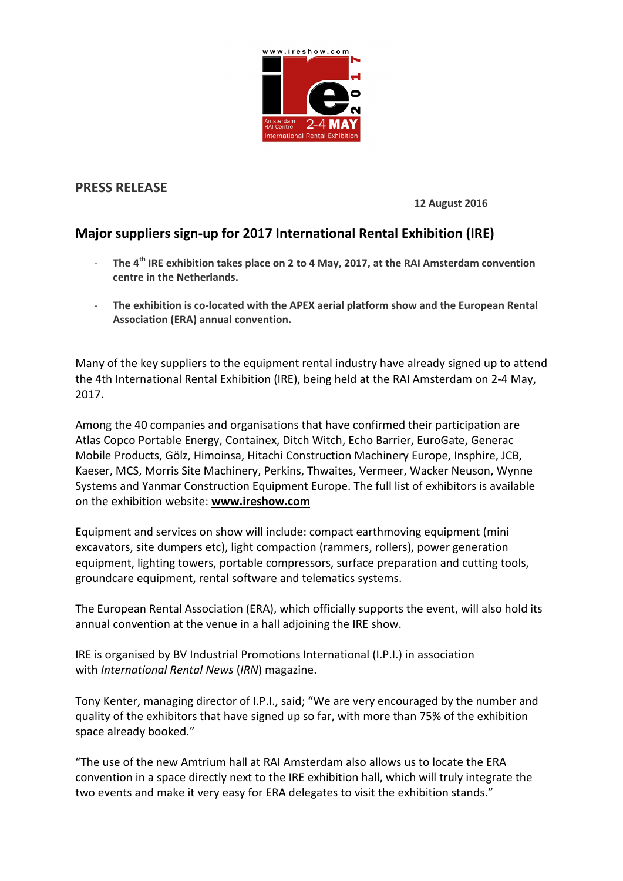

## **PRESS RELEASE**

**12 August 2016**

# **Major suppliers sign-up for 2017 International Rental Exhibition (IRE)**

- **The 4th IRE exhibition takes place on 2 to 4 May, 2017, at the RAI Amsterdam convention centre in the Netherlands.**
- **The exhibition is co-located with the APEX aerial platform show and the European Rental Association (ERA) annual convention.**

Many of the key suppliers to the equipment rental industry have already signed up to attend the 4th International Rental Exhibition (IRE), being held at the RAI Amsterdam on 2-4 May, 2017.

Among the 40 companies and organisations that have confirmed their participation are Atlas Copco Portable Energy, Containex, Ditch Witch, Echo Barrier, EuroGate, Generac Mobile Products, Gölz, Himoinsa, Hitachi Construction Machinery Europe, Insphire, JCB, Kaeser, MCS, Morris Site Machinery, Perkins, Thwaites, Vermeer, Wacker Neuson, Wynne Systems and Yanmar Construction Equipment Europe. The full list of exhibitors is available on the exhibition website: **[www.ireshow.com](http://www.khldev.com/action.aspx?t=tl&c=15497&r=3093&l=19707017&cet=2232892&test=y)**

Equipment and services on show will include: compact earthmoving equipment (mini excavators, site dumpers etc), light compaction (rammers, rollers), power generation equipment, lighting towers, portable compressors, surface preparation and cutting tools, groundcare equipment, rental software and telematics systems.

The European Rental Association (ERA), which officially supports the event, will also hold its annual convention at the venue in a hall adjoining the IRE show.

IRE is organised by BV Industrial Promotions International (I.P.I.) in association with *International Rental News* (*IRN*) magazine.

Tony Kenter, managing director of I.P.I., said; "We are very encouraged by the number and quality of the exhibitors that have signed up so far, with more than 75% of the exhibition space already booked."

"The use of the new Amtrium hall at RAI Amsterdam also allows us to locate the ERA convention in a space directly next to the IRE exhibition hall, which will truly integrate the two events and make it very easy for ERA delegates to visit the exhibition stands."